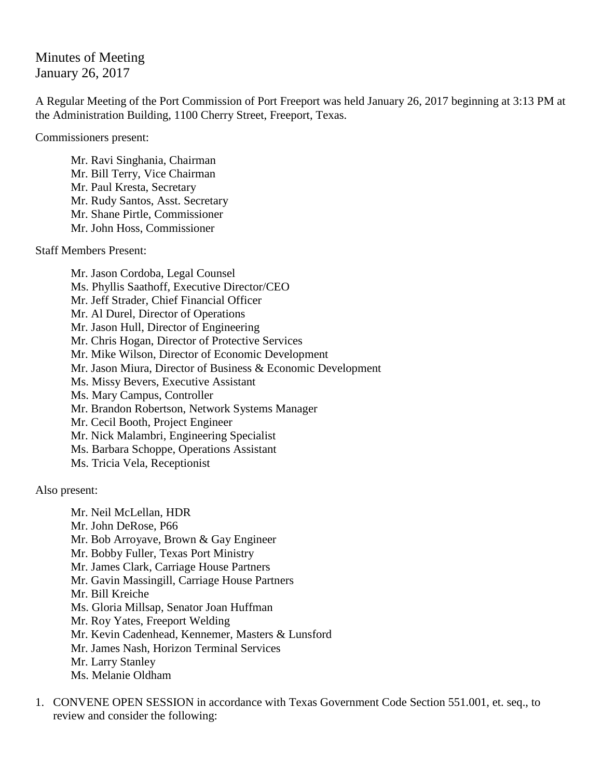Minutes of Meeting January 26, 2017

A Regular Meeting of the Port Commission of Port Freeport was held January 26, 2017 beginning at 3:13 PM at the Administration Building, 1100 Cherry Street, Freeport, Texas.

Commissioners present:

Mr. Ravi Singhania, Chairman Mr. Bill Terry, Vice Chairman Mr. Paul Kresta, Secretary Mr. Rudy Santos, Asst. Secretary Mr. Shane Pirtle, Commissioner Mr. John Hoss, Commissioner

Staff Members Present:

Mr. Jason Cordoba, Legal Counsel Ms. Phyllis Saathoff, Executive Director/CEO Mr. Jeff Strader, Chief Financial Officer Mr. Al Durel, Director of Operations Mr. Jason Hull, Director of Engineering Mr. Chris Hogan, Director of Protective Services Mr. Mike Wilson, Director of Economic Development Mr. Jason Miura, Director of Business & Economic Development Ms. Missy Bevers, Executive Assistant Ms. Mary Campus, Controller Mr. Brandon Robertson, Network Systems Manager Mr. Cecil Booth, Project Engineer Mr. Nick Malambri, Engineering Specialist Ms. Barbara Schoppe, Operations Assistant Ms. Tricia Vela, Receptionist

Also present:

Mr. Neil McLellan, HDR Mr. John DeRose, P66 Mr. Bob Arroyave, Brown & Gay Engineer Mr. Bobby Fuller, Texas Port Ministry Mr. James Clark, Carriage House Partners Mr. Gavin Massingill, Carriage House Partners Mr. Bill Kreiche Ms. Gloria Millsap, Senator Joan Huffman Mr. Roy Yates, Freeport Welding Mr. Kevin Cadenhead, Kennemer, Masters & Lunsford Mr. James Nash, Horizon Terminal Services Mr. Larry Stanley Ms. Melanie Oldham

1. CONVENE OPEN SESSION in accordance with Texas Government Code Section 551.001, et. seq., to review and consider the following: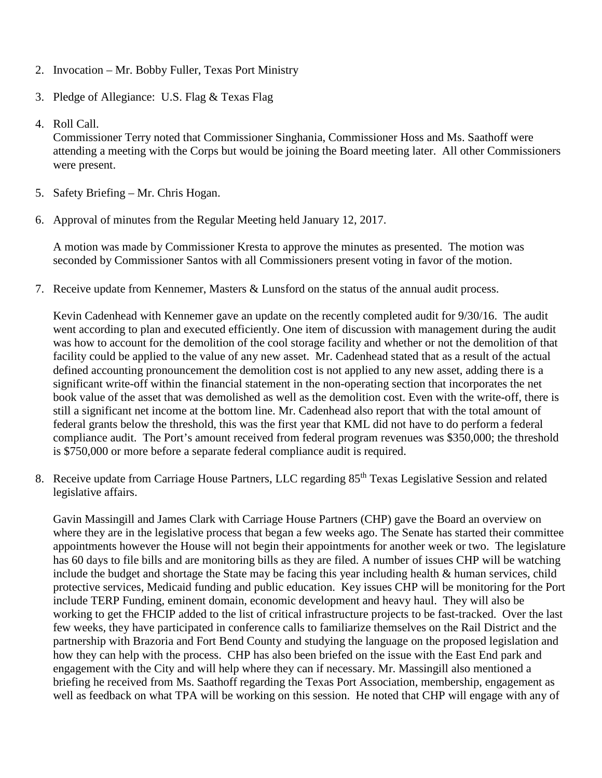- 2. Invocation Mr. Bobby Fuller, Texas Port Ministry
- 3. Pledge of Allegiance: U.S. Flag & Texas Flag
- 4. Roll Call.

Commissioner Terry noted that Commissioner Singhania, Commissioner Hoss and Ms. Saathoff were attending a meeting with the Corps but would be joining the Board meeting later. All other Commissioners were present.

- 5. Safety Briefing Mr. Chris Hogan.
- 6. Approval of minutes from the Regular Meeting held January 12, 2017.

A motion was made by Commissioner Kresta to approve the minutes as presented. The motion was seconded by Commissioner Santos with all Commissioners present voting in favor of the motion.

7. Receive update from Kennemer, Masters & Lunsford on the status of the annual audit process.

Kevin Cadenhead with Kennemer gave an update on the recently completed audit for 9/30/16. The audit went according to plan and executed efficiently. One item of discussion with management during the audit was how to account for the demolition of the cool storage facility and whether or not the demolition of that facility could be applied to the value of any new asset. Mr. Cadenhead stated that as a result of the actual defined accounting pronouncement the demolition cost is not applied to any new asset, adding there is a significant write-off within the financial statement in the non-operating section that incorporates the net book value of the asset that was demolished as well as the demolition cost. Even with the write-off, there is still a significant net income at the bottom line. Mr. Cadenhead also report that with the total amount of federal grants below the threshold, this was the first year that KML did not have to do perform a federal compliance audit. The Port's amount received from federal program revenues was \$350,000; the threshold is \$750,000 or more before a separate federal compliance audit is required.

8. Receive update from Carriage House Partners, LLC regarding 85<sup>th</sup> Texas Legislative Session and related legislative affairs.

Gavin Massingill and James Clark with Carriage House Partners (CHP) gave the Board an overview on where they are in the legislative process that began a few weeks ago. The Senate has started their committee appointments however the House will not begin their appointments for another week or two. The legislature has 60 days to file bills and are monitoring bills as they are filed. A number of issues CHP will be watching include the budget and shortage the State may be facing this year including health & human services, child protective services, Medicaid funding and public education. Key issues CHP will be monitoring for the Port include TERP Funding, eminent domain, economic development and heavy haul. They will also be working to get the FHCIP added to the list of critical infrastructure projects to be fast-tracked. Over the last few weeks, they have participated in conference calls to familiarize themselves on the Rail District and the partnership with Brazoria and Fort Bend County and studying the language on the proposed legislation and how they can help with the process. CHP has also been briefed on the issue with the East End park and engagement with the City and will help where they can if necessary. Mr. Massingill also mentioned a briefing he received from Ms. Saathoff regarding the Texas Port Association, membership, engagement as well as feedback on what TPA will be working on this session. He noted that CHP will engage with any of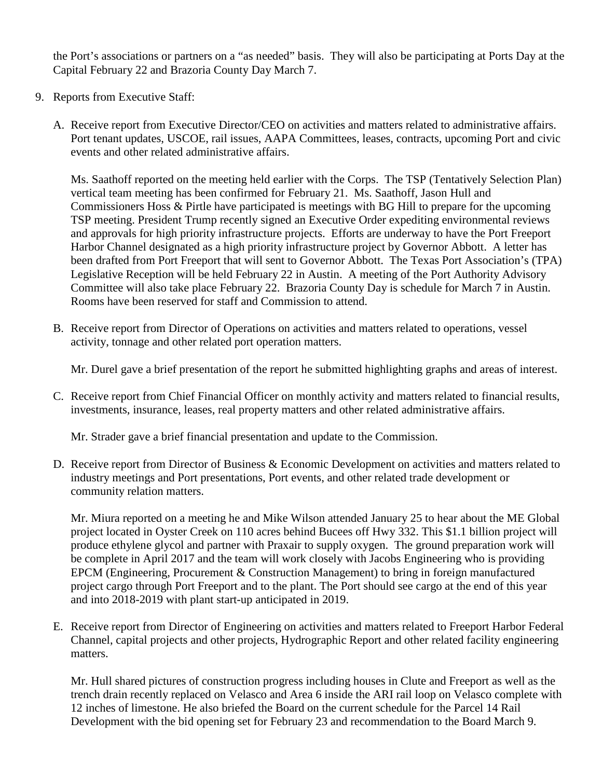the Port's associations or partners on a "as needed" basis. They will also be participating at Ports Day at the Capital February 22 and Brazoria County Day March 7.

- 9. Reports from Executive Staff:
	- A. Receive report from Executive Director/CEO on activities and matters related to administrative affairs. Port tenant updates, USCOE, rail issues, AAPA Committees, leases, contracts, upcoming Port and civic events and other related administrative affairs.

Ms. Saathoff reported on the meeting held earlier with the Corps. The TSP (Tentatively Selection Plan) vertical team meeting has been confirmed for February 21. Ms. Saathoff, Jason Hull and Commissioners Hoss & Pirtle have participated is meetings with BG Hill to prepare for the upcoming TSP meeting. President Trump recently signed an Executive Order expediting environmental reviews and approvals for high priority infrastructure projects. Efforts are underway to have the Port Freeport Harbor Channel designated as a high priority infrastructure project by Governor Abbott. A letter has been drafted from Port Freeport that will sent to Governor Abbott. The Texas Port Association's (TPA) Legislative Reception will be held February 22 in Austin. A meeting of the Port Authority Advisory Committee will also take place February 22. Brazoria County Day is schedule for March 7 in Austin. Rooms have been reserved for staff and Commission to attend.

B. Receive report from Director of Operations on activities and matters related to operations, vessel activity, tonnage and other related port operation matters.

Mr. Durel gave a brief presentation of the report he submitted highlighting graphs and areas of interest.

C. Receive report from Chief Financial Officer on monthly activity and matters related to financial results, investments, insurance, leases, real property matters and other related administrative affairs.

Mr. Strader gave a brief financial presentation and update to the Commission.

D. Receive report from Director of Business & Economic Development on activities and matters related to industry meetings and Port presentations, Port events, and other related trade development or community relation matters.

Mr. Miura reported on a meeting he and Mike Wilson attended January 25 to hear about the ME Global project located in Oyster Creek on 110 acres behind Bucees off Hwy 332. This \$1.1 billion project will produce ethylene glycol and partner with Praxair to supply oxygen. The ground preparation work will be complete in April 2017 and the team will work closely with Jacobs Engineering who is providing EPCM (Engineering, Procurement & Construction Management) to bring in foreign manufactured project cargo through Port Freeport and to the plant. The Port should see cargo at the end of this year and into 2018-2019 with plant start-up anticipated in 2019.

E. Receive report from Director of Engineering on activities and matters related to Freeport Harbor Federal Channel, capital projects and other projects, Hydrographic Report and other related facility engineering matters.

Mr. Hull shared pictures of construction progress including houses in Clute and Freeport as well as the trench drain recently replaced on Velasco and Area 6 inside the ARI rail loop on Velasco complete with 12 inches of limestone. He also briefed the Board on the current schedule for the Parcel 14 Rail Development with the bid opening set for February 23 and recommendation to the Board March 9.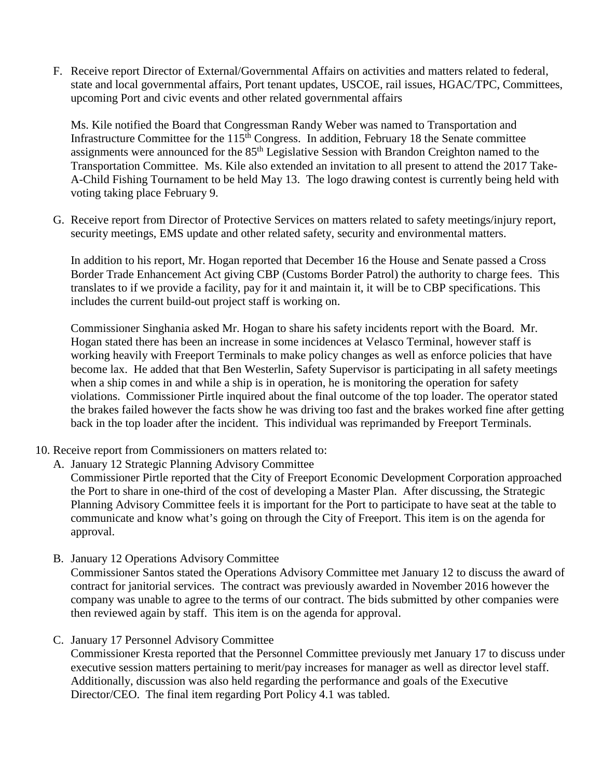F. Receive report Director of External/Governmental Affairs on activities and matters related to federal, state and local governmental affairs, Port tenant updates, USCOE, rail issues, HGAC/TPC, Committees, upcoming Port and civic events and other related governmental affairs

Ms. Kile notified the Board that Congressman Randy Weber was named to Transportation and Infrastructure Committee for the  $115<sup>th</sup>$  Congress. In addition, February 18 the Senate committee assignments were announced for the 85th Legislative Session with Brandon Creighton named to the Transportation Committee. Ms. Kile also extended an invitation to all present to attend the 2017 Take-A-Child Fishing Tournament to be held May 13. The logo drawing contest is currently being held with voting taking place February 9.

G. Receive report from Director of Protective Services on matters related to safety meetings/injury report, security meetings, EMS update and other related safety, security and environmental matters.

In addition to his report, Mr. Hogan reported that December 16 the House and Senate passed a Cross Border Trade Enhancement Act giving CBP (Customs Border Patrol) the authority to charge fees. This translates to if we provide a facility, pay for it and maintain it, it will be to CBP specifications. This includes the current build-out project staff is working on.

Commissioner Singhania asked Mr. Hogan to share his safety incidents report with the Board. Mr. Hogan stated there has been an increase in some incidences at Velasco Terminal, however staff is working heavily with Freeport Terminals to make policy changes as well as enforce policies that have become lax. He added that that Ben Westerlin, Safety Supervisor is participating in all safety meetings when a ship comes in and while a ship is in operation, he is monitoring the operation for safety violations. Commissioner Pirtle inquired about the final outcome of the top loader. The operator stated the brakes failed however the facts show he was driving too fast and the brakes worked fine after getting back in the top loader after the incident. This individual was reprimanded by Freeport Terminals.

- 10. Receive report from Commissioners on matters related to:
	- A. January 12 Strategic Planning Advisory Committee

Commissioner Pirtle reported that the City of Freeport Economic Development Corporation approached the Port to share in one-third of the cost of developing a Master Plan. After discussing, the Strategic Planning Advisory Committee feels it is important for the Port to participate to have seat at the table to communicate and know what's going on through the City of Freeport. This item is on the agenda for approval.

B. January 12 Operations Advisory Committee

Commissioner Santos stated the Operations Advisory Committee met January 12 to discuss the award of contract for janitorial services. The contract was previously awarded in November 2016 however the company was unable to agree to the terms of our contract. The bids submitted by other companies were then reviewed again by staff. This item is on the agenda for approval.

C. January 17 Personnel Advisory Committee

Commissioner Kresta reported that the Personnel Committee previously met January 17 to discuss under executive session matters pertaining to merit/pay increases for manager as well as director level staff. Additionally, discussion was also held regarding the performance and goals of the Executive Director/CEO. The final item regarding Port Policy 4.1 was tabled.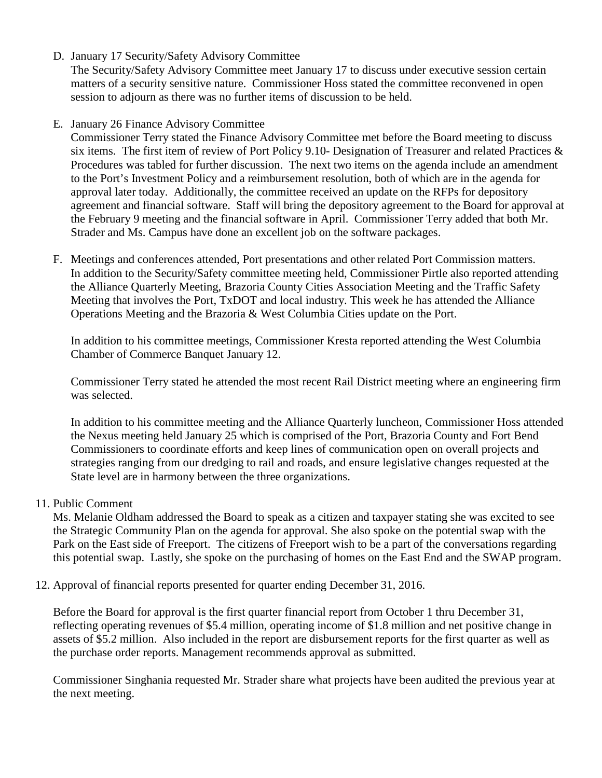D. January 17 Security/Safety Advisory Committee

The Security/Safety Advisory Committee meet January 17 to discuss under executive session certain matters of a security sensitive nature. Commissioner Hoss stated the committee reconvened in open session to adjourn as there was no further items of discussion to be held.

E. January 26 Finance Advisory Committee

Commissioner Terry stated the Finance Advisory Committee met before the Board meeting to discuss six items. The first item of review of Port Policy 9.10- Designation of Treasurer and related Practices & Procedures was tabled for further discussion. The next two items on the agenda include an amendment to the Port's Investment Policy and a reimbursement resolution, both of which are in the agenda for approval later today. Additionally, the committee received an update on the RFPs for depository agreement and financial software. Staff will bring the depository agreement to the Board for approval at the February 9 meeting and the financial software in April. Commissioner Terry added that both Mr. Strader and Ms. Campus have done an excellent job on the software packages.

F. Meetings and conferences attended, Port presentations and other related Port Commission matters. In addition to the Security/Safety committee meeting held, Commissioner Pirtle also reported attending the Alliance Quarterly Meeting, Brazoria County Cities Association Meeting and the Traffic Safety Meeting that involves the Port, TxDOT and local industry. This week he has attended the Alliance Operations Meeting and the Brazoria & West Columbia Cities update on the Port.

In addition to his committee meetings, Commissioner Kresta reported attending the West Columbia Chamber of Commerce Banquet January 12.

Commissioner Terry stated he attended the most recent Rail District meeting where an engineering firm was selected.

In addition to his committee meeting and the Alliance Quarterly luncheon, Commissioner Hoss attended the Nexus meeting held January 25 which is comprised of the Port, Brazoria County and Fort Bend Commissioners to coordinate efforts and keep lines of communication open on overall projects and strategies ranging from our dredging to rail and roads, and ensure legislative changes requested at the State level are in harmony between the three organizations.

## 11. Public Comment

Ms. Melanie Oldham addressed the Board to speak as a citizen and taxpayer stating she was excited to see the Strategic Community Plan on the agenda for approval. She also spoke on the potential swap with the Park on the East side of Freeport. The citizens of Freeport wish to be a part of the conversations regarding this potential swap. Lastly, she spoke on the purchasing of homes on the East End and the SWAP program.

12. Approval of financial reports presented for quarter ending December 31, 2016.

Before the Board for approval is the first quarter financial report from October 1 thru December 31, reflecting operating revenues of \$5.4 million, operating income of \$1.8 million and net positive change in assets of \$5.2 million. Also included in the report are disbursement reports for the first quarter as well as the purchase order reports. Management recommends approval as submitted.

Commissioner Singhania requested Mr. Strader share what projects have been audited the previous year at the next meeting.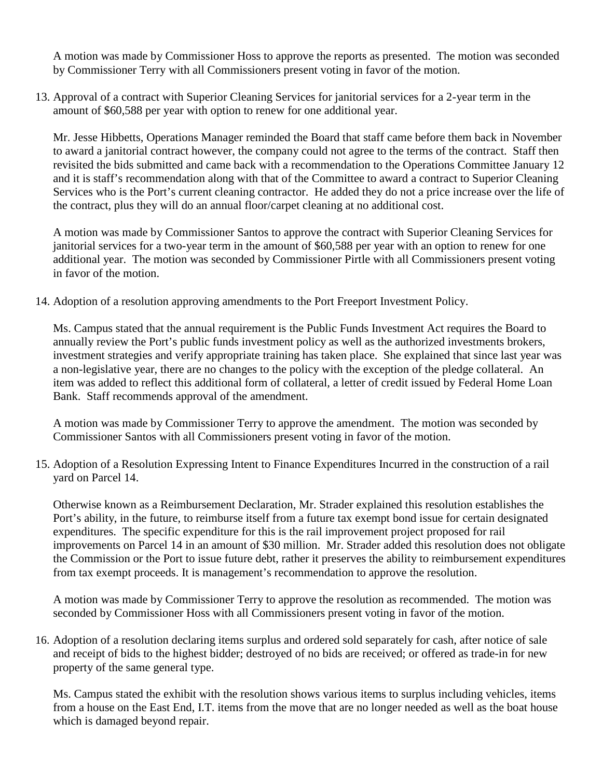A motion was made by Commissioner Hoss to approve the reports as presented. The motion was seconded by Commissioner Terry with all Commissioners present voting in favor of the motion.

13. Approval of a contract with Superior Cleaning Services for janitorial services for a 2-year term in the amount of \$60,588 per year with option to renew for one additional year.

Mr. Jesse Hibbetts, Operations Manager reminded the Board that staff came before them back in November to award a janitorial contract however, the company could not agree to the terms of the contract. Staff then revisited the bids submitted and came back with a recommendation to the Operations Committee January 12 and it is staff's recommendation along with that of the Committee to award a contract to Superior Cleaning Services who is the Port's current cleaning contractor. He added they do not a price increase over the life of the contract, plus they will do an annual floor/carpet cleaning at no additional cost.

A motion was made by Commissioner Santos to approve the contract with Superior Cleaning Services for janitorial services for a two-year term in the amount of \$60,588 per year with an option to renew for one additional year. The motion was seconded by Commissioner Pirtle with all Commissioners present voting in favor of the motion.

14. Adoption of a resolution approving amendments to the Port Freeport Investment Policy.

Ms. Campus stated that the annual requirement is the Public Funds Investment Act requires the Board to annually review the Port's public funds investment policy as well as the authorized investments brokers, investment strategies and verify appropriate training has taken place. She explained that since last year was a non-legislative year, there are no changes to the policy with the exception of the pledge collateral. An item was added to reflect this additional form of collateral, a letter of credit issued by Federal Home Loan Bank. Staff recommends approval of the amendment.

A motion was made by Commissioner Terry to approve the amendment. The motion was seconded by Commissioner Santos with all Commissioners present voting in favor of the motion.

15. Adoption of a Resolution Expressing Intent to Finance Expenditures Incurred in the construction of a rail yard on Parcel 14.

Otherwise known as a Reimbursement Declaration, Mr. Strader explained this resolution establishes the Port's ability, in the future, to reimburse itself from a future tax exempt bond issue for certain designated expenditures. The specific expenditure for this is the rail improvement project proposed for rail improvements on Parcel 14 in an amount of \$30 million. Mr. Strader added this resolution does not obligate the Commission or the Port to issue future debt, rather it preserves the ability to reimbursement expenditures from tax exempt proceeds. It is management's recommendation to approve the resolution.

A motion was made by Commissioner Terry to approve the resolution as recommended. The motion was seconded by Commissioner Hoss with all Commissioners present voting in favor of the motion.

16. Adoption of a resolution declaring items surplus and ordered sold separately for cash, after notice of sale and receipt of bids to the highest bidder; destroyed of no bids are received; or offered as trade-in for new property of the same general type.

Ms. Campus stated the exhibit with the resolution shows various items to surplus including vehicles, items from a house on the East End, I.T. items from the move that are no longer needed as well as the boat house which is damaged beyond repair.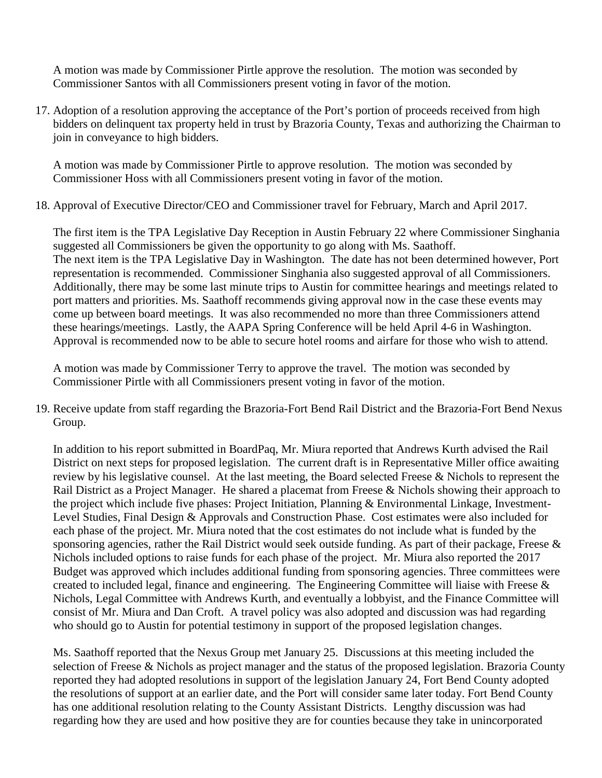A motion was made by Commissioner Pirtle approve the resolution. The motion was seconded by Commissioner Santos with all Commissioners present voting in favor of the motion.

17. Adoption of a resolution approving the acceptance of the Port's portion of proceeds received from high bidders on delinquent tax property held in trust by Brazoria County, Texas and authorizing the Chairman to join in conveyance to high bidders.

A motion was made by Commissioner Pirtle to approve resolution. The motion was seconded by Commissioner Hoss with all Commissioners present voting in favor of the motion.

18. Approval of Executive Director/CEO and Commissioner travel for February, March and April 2017.

The first item is the TPA Legislative Day Reception in Austin February 22 where Commissioner Singhania suggested all Commissioners be given the opportunity to go along with Ms. Saathoff. The next item is the TPA Legislative Day in Washington. The date has not been determined however, Port representation is recommended. Commissioner Singhania also suggested approval of all Commissioners. Additionally, there may be some last minute trips to Austin for committee hearings and meetings related to port matters and priorities. Ms. Saathoff recommends giving approval now in the case these events may come up between board meetings. It was also recommended no more than three Commissioners attend these hearings/meetings. Lastly, the AAPA Spring Conference will be held April 4-6 in Washington. Approval is recommended now to be able to secure hotel rooms and airfare for those who wish to attend.

A motion was made by Commissioner Terry to approve the travel. The motion was seconded by Commissioner Pirtle with all Commissioners present voting in favor of the motion.

19. Receive update from staff regarding the Brazoria-Fort Bend Rail District and the Brazoria-Fort Bend Nexus Group.

In addition to his report submitted in BoardPaq, Mr. Miura reported that Andrews Kurth advised the Rail District on next steps for proposed legislation. The current draft is in Representative Miller office awaiting review by his legislative counsel. At the last meeting, the Board selected Freese & Nichols to represent the Rail District as a Project Manager. He shared a placemat from Freese & Nichols showing their approach to the project which include five phases: Project Initiation, Planning & Environmental Linkage, Investment-Level Studies, Final Design & Approvals and Construction Phase. Cost estimates were also included for each phase of the project. Mr. Miura noted that the cost estimates do not include what is funded by the sponsoring agencies, rather the Rail District would seek outside funding. As part of their package, Freese & Nichols included options to raise funds for each phase of the project. Mr. Miura also reported the 2017 Budget was approved which includes additional funding from sponsoring agencies. Three committees were created to included legal, finance and engineering. The Engineering Committee will liaise with Freese & Nichols, Legal Committee with Andrews Kurth, and eventually a lobbyist, and the Finance Committee will consist of Mr. Miura and Dan Croft. A travel policy was also adopted and discussion was had regarding who should go to Austin for potential testimony in support of the proposed legislation changes.

Ms. Saathoff reported that the Nexus Group met January 25. Discussions at this meeting included the selection of Freese & Nichols as project manager and the status of the proposed legislation. Brazoria County reported they had adopted resolutions in support of the legislation January 24, Fort Bend County adopted the resolutions of support at an earlier date, and the Port will consider same later today. Fort Bend County has one additional resolution relating to the County Assistant Districts. Lengthy discussion was had regarding how they are used and how positive they are for counties because they take in unincorporated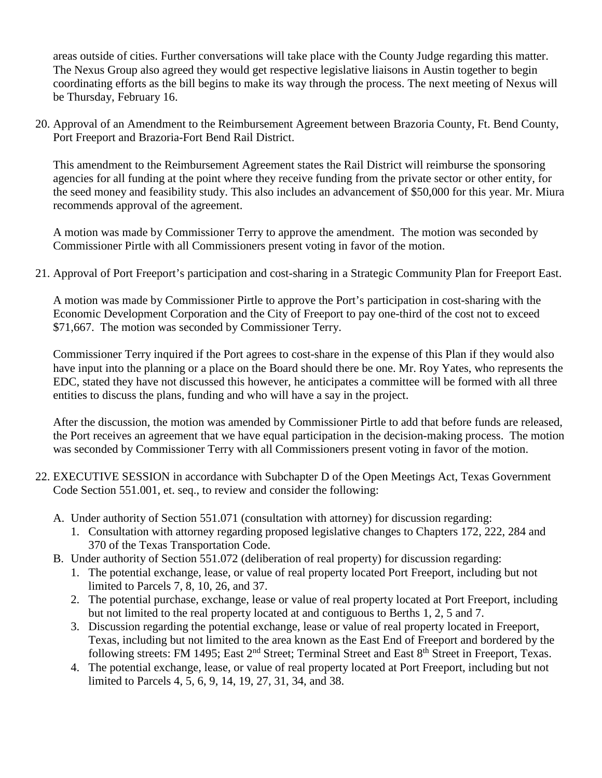areas outside of cities. Further conversations will take place with the County Judge regarding this matter. The Nexus Group also agreed they would get respective legislative liaisons in Austin together to begin coordinating efforts as the bill begins to make its way through the process. The next meeting of Nexus will be Thursday, February 16.

20. Approval of an Amendment to the Reimbursement Agreement between Brazoria County, Ft. Bend County, Port Freeport and Brazoria-Fort Bend Rail District.

This amendment to the Reimbursement Agreement states the Rail District will reimburse the sponsoring agencies for all funding at the point where they receive funding from the private sector or other entity, for the seed money and feasibility study. This also includes an advancement of \$50,000 for this year. Mr. Miura recommends approval of the agreement.

A motion was made by Commissioner Terry to approve the amendment. The motion was seconded by Commissioner Pirtle with all Commissioners present voting in favor of the motion.

21. Approval of Port Freeport's participation and cost-sharing in a Strategic Community Plan for Freeport East.

A motion was made by Commissioner Pirtle to approve the Port's participation in cost-sharing with the Economic Development Corporation and the City of Freeport to pay one-third of the cost not to exceed \$71,667. The motion was seconded by Commissioner Terry.

Commissioner Terry inquired if the Port agrees to cost-share in the expense of this Plan if they would also have input into the planning or a place on the Board should there be one. Mr. Roy Yates, who represents the EDC, stated they have not discussed this however, he anticipates a committee will be formed with all three entities to discuss the plans, funding and who will have a say in the project.

After the discussion, the motion was amended by Commissioner Pirtle to add that before funds are released, the Port receives an agreement that we have equal participation in the decision-making process. The motion was seconded by Commissioner Terry with all Commissioners present voting in favor of the motion.

- 22. EXECUTIVE SESSION in accordance with Subchapter D of the Open Meetings Act, Texas Government Code Section 551.001, et. seq., to review and consider the following:
	- A. Under authority of Section 551.071 (consultation with attorney) for discussion regarding:
		- 1. Consultation with attorney regarding proposed legislative changes to Chapters 172, 222, 284 and 370 of the Texas Transportation Code.
	- B. Under authority of Section 551.072 (deliberation of real property) for discussion regarding:
		- 1. The potential exchange, lease, or value of real property located Port Freeport, including but not limited to Parcels 7, 8, 10, 26, and 37.
		- 2. The potential purchase, exchange, lease or value of real property located at Port Freeport, including but not limited to the real property located at and contiguous to Berths 1, 2, 5 and 7.
		- 3. Discussion regarding the potential exchange, lease or value of real property located in Freeport, Texas, including but not limited to the area known as the East End of Freeport and bordered by the following streets: FM 1495; East 2<sup>nd</sup> Street; Terminal Street and East 8<sup>th</sup> Street in Freeport, Texas.
		- 4. The potential exchange, lease, or value of real property located at Port Freeport, including but not limited to Parcels 4, 5, 6, 9, 14, 19, 27, 31, 34, and 38.